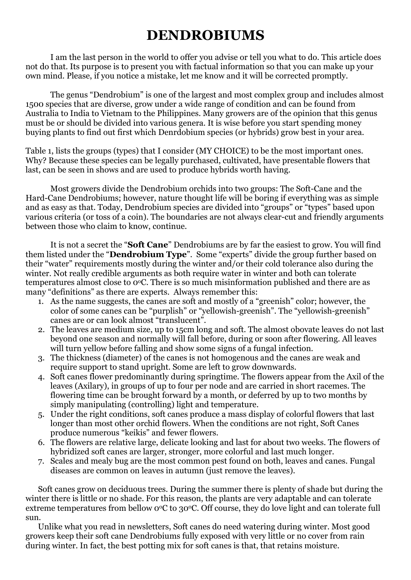## **DENDROBIUMS**

I am the last person in the world to offer you advise or tell you what to do. This article does not do that. Its purpose is to present you with factual information so that you can make up your own mind. Please, if you notice a mistake, let me know and it will be corrected promptly.

The genus "Dendrobium" is one of the largest and most complex group and includes almost 1500 species that are diverse, grow under a wide range of condition and can be found from Australia to India to Vietnam to the Philippines. Many growers are of the opinion that this genus must be or should be divided into various genera. It is wise before you start spending money buying plants to find out first which Denrdobium species (or hybrids) grow best in your area.

Table 1, lists the groups (types) that I consider (MY CHOICE) to be the most important ones. Why? Because these species can be legally purchased, cultivated, have presentable flowers that last, can be seen in shows and are used to produce hybrids worth having.

Most growers divide the Dendrobium orchids into two groups: The Soft-Cane and the Hard-Cane Dendrobiums; however, nature thought life will be boring if everything was as simple and as easy as that. Today, Dendrobium species are divided into "groups" or "types" based upon various criteria (or toss of a coin). The boundaries are not always clear-cut and friendly arguments between those who claim to know, continue.

It is not a secret the "**Soft Cane**" Dendrobiums are by far the easiest to grow. You will find them listed under the "**Dendrobium Type**". Some "experts" divide the group further based on their "water" requirements mostly during the winter and/or their cold tolerance also during the winter. Not really credible arguments as both require water in winter and both can tolerate temperatures almost close to 0oC. There is so much misinformation published and there are as many "definitions" as there are experts. Always remember this:

- 1. As the name suggests, the canes are soft and mostly of a "greenish" color; however, the color of some canes can be "purplish" or "yellowish-greenish". The "yellowish-greenish" canes are or can look almost "translucent".
- 2. The leaves are medium size, up to 15cm long and soft. The almost obovate leaves do not last beyond one season and normally will fall before, during or soon after flowering. All leaves will turn yellow before falling and show some signs of a fungal infection.
- 3. The thickness (diameter) of the canes is not homogenous and the canes are weak and require support to stand upright. Some are left to grow downwards.
- 4. Soft canes flower predominantly during springtime. The flowers appear from the Axil of the leaves (Axilary), in groups of up to four per node and are carried in short racemes. The flowering time can be brought forward by a month, or deferred by up to two months by simply manipulating (controlling) light and temperature.
- 5. Under the right conditions, soft canes produce a mass display of colorful flowers that last longer than most other orchid flowers. When the conditions are not right, Soft Canes produce numerous "keikis" and fewer flowers.
- 6. The flowers are relative large, delicate looking and last for about two weeks. The flowers of hybridized soft canes are larger, stronger, more colorful and last much longer.
- 7. Scales and mealy bug are the most common pest found on both, leaves and canes. Fungal diseases are common on leaves in autumn (just remove the leaves).

Soft canes grow on deciduous trees. During the summer there is plenty of shade but during the winter there is little or no shade. For this reason, the plants are very adaptable and can tolerate extreme temperatures from bellow  $O^{\circ}C$  to 30 $^{\circ}C$ . Off course, they do love light and can tolerate full sun.

Unlike what you read in newsletters, Soft canes do need watering during winter. Most good growers keep their soft cane Dendrobiums fully exposed with very little or no cover from rain during winter. In fact, the best potting mix for soft canes is that, that retains moisture.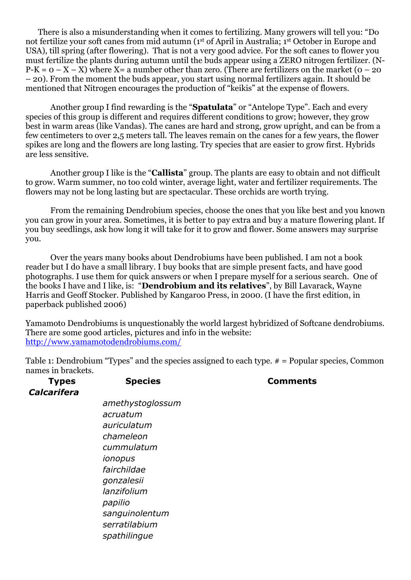There is also a misunderstanding when it comes to fertilizing. Many growers will tell you: "Do not fertilize your soft canes from mid autumn (1st of April in Australia; 1st October in Europe and USA), till spring (after flowering). That is not a very good advice. For the soft canes to flower you must fertilize the plants during autumn until the buds appear using a ZERO nitrogen fertilizer. (N- $P-K = 0 - X - X$ ) where  $X = a$  number other than zero. (There are fertilizers on the market (0 – 20) – 20). From the moment the buds appear, you start using normal fertilizers again. It should be mentioned that Nitrogen encourages the production of "keikis" at the expense of flowers.

Another group I find rewarding is the "**Spatulata**" or "Antelope Type". Each and every species of this group is different and requires different conditions to grow; however, they grow best in warm areas (like Vandas). The canes are hard and strong, grow upright, and can be from a few centimeters to over 2,5 meters tall. The leaves remain on the canes for a few years, the flower spikes are long and the flowers are long lasting. Try species that are easier to grow first. Hybrids are less sensitive.

Another group I like is the "**Callista**" group. The plants are easy to obtain and not difficult to grow. Warm summer, no too cold winter, average light, water and fertilizer requirements. The flowers may not be long lasting but are spectacular. These orchids are worth trying.

From the remaining Dendrobium species, choose the ones that you like best and you known you can grow in your area. Sometimes, it is better to pay extra and buy a mature flowering plant. If you buy seedlings, ask how long it will take for it to grow and flower. Some answers may surprise you.

Over the years many books about Dendrobiums have been published. I am not a book reader but I do have a small library. I buy books that are simple present facts, and have good photographs. I use them for quick answers or when I prepare myself for a serious search. One of the books I have and I like, is: "**Dendrobium and its relatives**", by Bill Lavarack, Wayne Harris and Geoff Stocker. Published by Kangaroo Press, in 2000. (I have the first edition, in paperback published 2006)

Yamamoto Dendrobiums is unquestionably the world largest hybridized of Softcane dendrobiums. There are some good articles, pictures and info in the website: http://www.yamamotodendrobiums.com/

Table 1: Dendrobium "Types" and the species assigned to each type. # = Popular species, Common names in brackets.

| <b>Types</b>       | <b>Species</b>   | <b>Comments</b> |
|--------------------|------------------|-----------------|
| <b>Calcarifera</b> |                  |                 |
|                    | amethystoglossum |                 |
|                    | acruatum         |                 |
|                    | auriculatum      |                 |
|                    | chameleon        |                 |
|                    | cummulatum       |                 |
|                    | ionopus          |                 |
|                    | fairchildae      |                 |
|                    | gonzalesii       |                 |
|                    | lanzifolium      |                 |
|                    | papilio          |                 |
|                    | sanguinolentum   |                 |
|                    | serratilabium    |                 |
|                    | spathilingue     |                 |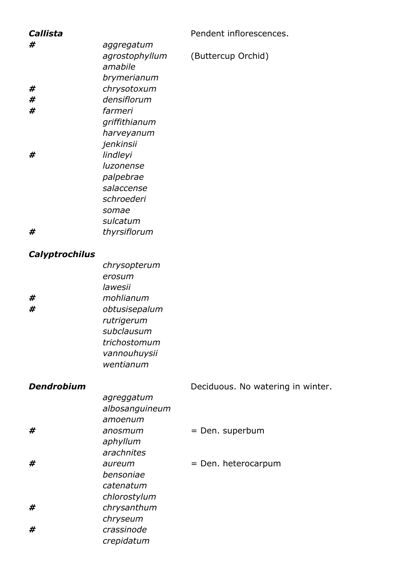| Callista          |                        | Pendent inflorescences.           |
|-------------------|------------------------|-----------------------------------|
| #                 | aggregatum             |                                   |
|                   | agrostophyllum         | (Buttercup Orchid)                |
|                   | amabile                |                                   |
|                   | brymerianum            |                                   |
| #                 | chrysotoxum            |                                   |
| #                 | densiflorum            |                                   |
| #                 | farmeri                |                                   |
|                   | griffithianum          |                                   |
|                   | harveyanum             |                                   |
|                   | jenkinsii              |                                   |
| #                 | lindleyi               |                                   |
|                   | luzonense              |                                   |
|                   | palpebrae              |                                   |
|                   | salaccense             |                                   |
|                   | schroederi             |                                   |
|                   | somae                  |                                   |
|                   | sulcatum               |                                   |
| #                 | thyrsiflorum           |                                   |
|                   |                        |                                   |
| Calyptrochilus    |                        |                                   |
|                   | chrysopterum           |                                   |
|                   | erosum                 |                                   |
|                   | lawesii                |                                   |
| #                 | mohlianum              |                                   |
| #                 | obtusisepalum          |                                   |
|                   | rutrigerum             |                                   |
|                   | subclausum             |                                   |
|                   | trichostomum           |                                   |
|                   | vannouhuysii           |                                   |
|                   | wentianum              |                                   |
| <b>Dendrobium</b> |                        |                                   |
|                   |                        | Deciduous. No watering in winter. |
|                   | agreggatum             |                                   |
|                   | albosanguineum         |                                   |
|                   | amoenum                |                                   |
| #                 | anosmum                | = Den. superbum                   |
|                   | aphyllum<br>arachnites |                                   |
| #                 |                        |                                   |
|                   | aureum                 | = Den. heterocarpum               |
|                   | bensoniae              |                                   |
|                   | catenatum              |                                   |
|                   | chlorostylum           |                                   |
| #                 | chrysanthum            |                                   |
| #                 | chryseum<br>crassinode |                                   |
|                   |                        |                                   |
|                   | crepidatum             |                                   |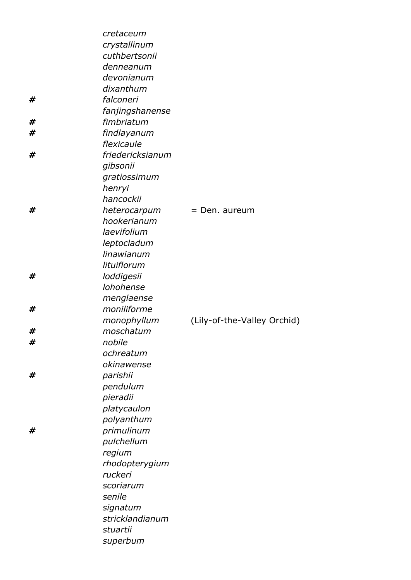|   | cretaceum        |                             |
|---|------------------|-----------------------------|
|   | crystallinum     |                             |
|   | cuthbertsonii    |                             |
|   | denneanum        |                             |
|   | devonianum       |                             |
|   | dixanthum        |                             |
| # | falconeri        |                             |
|   | fanjingshanense  |                             |
| # | fimbriatum       |                             |
| # | findlayanum      |                             |
|   | flexicaule       |                             |
| # | friedericksianum |                             |
|   | gibsonii         |                             |
|   | gratiossimum     |                             |
|   | henryi           |                             |
|   | hancockii        |                             |
| # | heterocarpum     | $=$ Den. aureum             |
|   | hookerianum      |                             |
|   | laevifolium      |                             |
|   | leptocladum      |                             |
|   | linawianum       |                             |
|   | lituiflorum      |                             |
| # | loddigesii       |                             |
|   | lohohense        |                             |
|   | menglaense       |                             |
| # | moniliforme      |                             |
|   | monophyllum      | (Lily-of-the-Valley Orchid) |
| # | moschatum        |                             |
| # | nobile           |                             |
|   | ochreatum        |                             |
|   | okinawense       |                             |
| # | parishii         |                             |
|   | pendulum         |                             |
|   | pieradii         |                             |
|   | platycaulon      |                             |
|   | polyanthum       |                             |
| # | primulinum       |                             |
|   | pulchellum       |                             |
|   | regium           |                             |
|   | rhodopterygium   |                             |
|   | ruckeri          |                             |
|   | scoriarum        |                             |
|   | senile           |                             |
|   | signatum         |                             |
|   | stricklandianum  |                             |
|   | stuartii         |                             |
|   | superbum         |                             |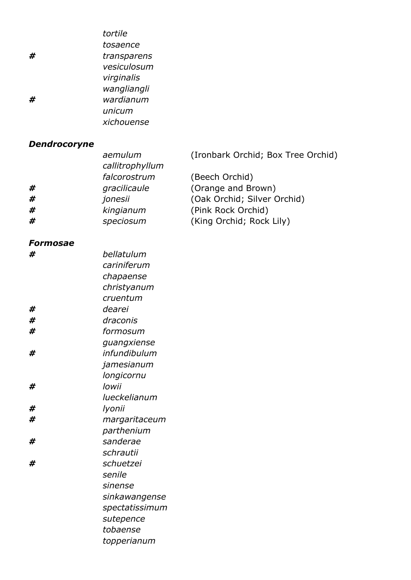| #<br>#       | tortile<br>tosaence<br>transparens<br>vesiculosum<br>virginalis<br>wangliangli<br>wardianum<br>unicum<br>xichouense |                                      |
|--------------|---------------------------------------------------------------------------------------------------------------------|--------------------------------------|
| Dendrocoryne |                                                                                                                     |                                      |
|              | aemulum                                                                                                             | (Ironbark Orchid; Box Tree Orchid)   |
|              | callitrophyllum                                                                                                     |                                      |
| #            | falcorostrum<br>gracilicaule                                                                                        | (Beech Orchid)<br>(Orange and Brown) |
| #            | jonesii                                                                                                             | (Oak Orchid; Silver Orchid)          |
| #            | kingianum                                                                                                           | (Pink Rock Orchid)                   |
| #            | speciosum                                                                                                           | (King Orchid; Rock Lily)             |
| Formosae     |                                                                                                                     |                                      |
| #            | bellatulum                                                                                                          |                                      |
|              | cariniferum                                                                                                         |                                      |
|              | chapaense                                                                                                           |                                      |
|              | christyanum                                                                                                         |                                      |
|              | cruentum                                                                                                            |                                      |
| #<br>#       | dearei<br>draconis                                                                                                  |                                      |
| #            | formosum                                                                                                            |                                      |
|              | guangxiense                                                                                                         |                                      |
| #            | infundibulum                                                                                                        |                                      |
|              | jamesianum                                                                                                          |                                      |
|              | longicornu                                                                                                          |                                      |
| #            | lowii                                                                                                               |                                      |
|              | lueckelianum                                                                                                        |                                      |
| #            | lyonii                                                                                                              |                                      |
| #            | margaritaceum                                                                                                       |                                      |
|              | parthenium                                                                                                          |                                      |
| #            | sanderae                                                                                                            |                                      |
|              | schrautii                                                                                                           |                                      |
| #            | schuetzei                                                                                                           |                                      |
|              | senile                                                                                                              |                                      |
|              | sinense                                                                                                             |                                      |
|              | sinkawangense                                                                                                       |                                      |
|              | spectatissimum                                                                                                      |                                      |
|              | sutepence                                                                                                           |                                      |
|              | tobaense                                                                                                            |                                      |
|              | topperianum                                                                                                         |                                      |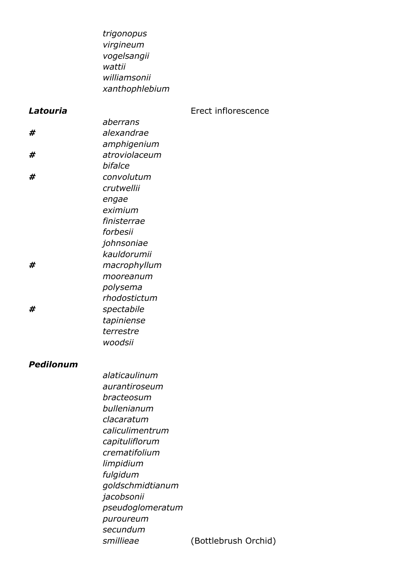|           | trigonopus<br>virgineum<br>vogelsangii<br>wattii<br>williamsonii |                      |
|-----------|------------------------------------------------------------------|----------------------|
|           | xanthophlebium                                                   |                      |
| Latouria  |                                                                  | Erect inflorescence  |
|           | aberrans                                                         |                      |
| #         | alexandrae                                                       |                      |
|           | amphigenium                                                      |                      |
| #         | atroviolaceum                                                    |                      |
|           | bifalce                                                          |                      |
| #         | convolutum                                                       |                      |
|           | crutwellii                                                       |                      |
|           | engae<br>eximium                                                 |                      |
|           | finisterrae                                                      |                      |
|           | forbesii                                                         |                      |
|           | johnsoniae                                                       |                      |
|           | kauldorumii                                                      |                      |
| #         | macrophyllum                                                     |                      |
|           | mooreanum                                                        |                      |
|           | polysema                                                         |                      |
|           | rhodostictum                                                     |                      |
| #         | spectabile                                                       |                      |
|           | tapiniense                                                       |                      |
|           | terrestre<br>woodsii                                             |                      |
|           |                                                                  |                      |
| Pedilonum |                                                                  |                      |
|           | alaticaulinum                                                    |                      |
|           | aurantiroseum                                                    |                      |
|           | bracteosum                                                       |                      |
|           | bullenianum<br>clacaratum                                        |                      |
|           | caliculimentrum                                                  |                      |
|           | capituliflorum                                                   |                      |
|           | crematifolium                                                    |                      |
|           | limpidium                                                        |                      |
|           | fulgidum                                                         |                      |
|           | goldschmidtianum                                                 |                      |
|           | jacobsonii                                                       |                      |
|           | pseudoglomeratum                                                 |                      |
|           | puroureum                                                        |                      |
|           | secundum                                                         |                      |
|           | smillieae                                                        | (Bottlebrush Orchid) |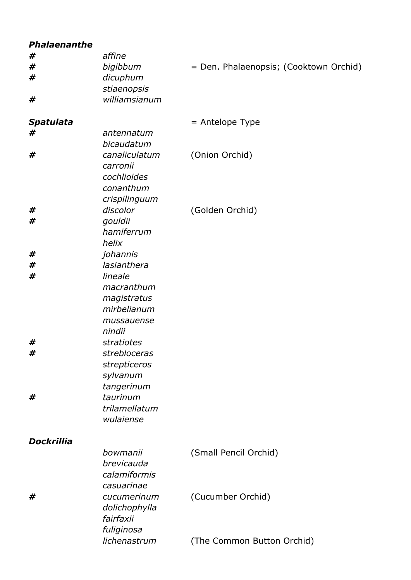| <b>Phalaenanthe</b> |               |                                        |
|---------------------|---------------|----------------------------------------|
| #                   | affine        |                                        |
| #                   | bigibbum      | = Den. Phalaenopsis; (Cooktown Orchid) |
| #                   | dicuphum      |                                        |
|                     | stiaenopsis   |                                        |
| #                   | williamsianum |                                        |
|                     |               |                                        |
| Spatulata           |               | $=$ Antelope Type                      |
| #                   | antennatum    |                                        |
|                     |               |                                        |
|                     | bicaudatum    |                                        |
| #                   | canaliculatum | (Onion Orchid)                         |
|                     | carronii      |                                        |
|                     | cochlioides   |                                        |
|                     | conanthum     |                                        |
|                     | crispilinguum |                                        |
| #                   | discolor      | (Golden Orchid)                        |
| #                   | gouldii       |                                        |
|                     | hamiferrum    |                                        |
|                     | helix         |                                        |
| #                   | johannis      |                                        |
| #                   | lasianthera   |                                        |
|                     |               |                                        |
| #                   | lineale       |                                        |
|                     | macranthum    |                                        |
|                     | magistratus   |                                        |
|                     | mirbelianum   |                                        |
|                     | mussauense    |                                        |
|                     | nindii        |                                        |
| #                   | stratiotes    |                                        |
| #                   | strebloceras  |                                        |
|                     | strepticeros  |                                        |
|                     | sylvanum      |                                        |
|                     | tangerinum    |                                        |
| #                   | taurinum      |                                        |
|                     | trilamellatum |                                        |
|                     |               |                                        |
|                     | wulaiense     |                                        |
|                     |               |                                        |
| <b>Dockrillia</b>   |               |                                        |
|                     | bowmanii      | (Small Pencil Orchid)                  |
|                     | brevicauda    |                                        |
|                     | calamiformis  |                                        |
|                     | casuarinae    |                                        |
| #                   | cucumerinum   | (Cucumber Orchid)                      |
|                     | dolichophylla |                                        |
|                     | fairfaxii     |                                        |
|                     | fuliginosa    |                                        |
|                     | lichenastrum  | (The Common Button Orchid)             |
|                     |               |                                        |